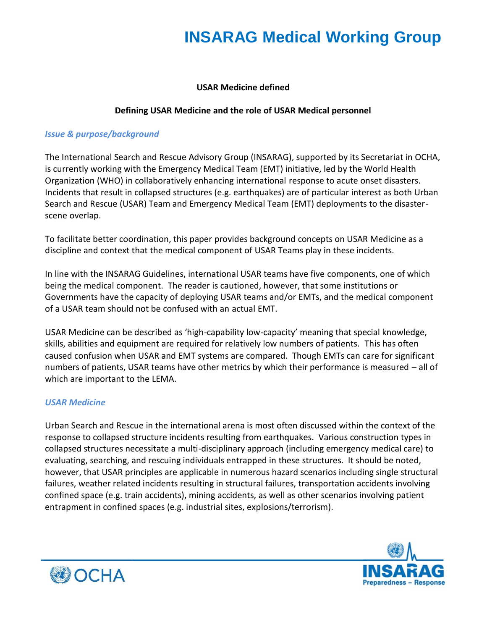#### **USAR Medicine defined**

#### **Defining USAR Medicine and the role of USAR Medical personnel**

#### *Issue & purpose/background*

The International Search and Rescue Advisory Group (INSARAG), supported by its Secretariat in OCHA, is currently working with the Emergency Medical Team (EMT) initiative, led by the World Health Organization (WHO) in collaboratively enhancing international response to acute onset disasters. Incidents that result in collapsed structures (e.g. earthquakes) are of particular interest as both Urban Search and Rescue (USAR) Team and Emergency Medical Team (EMT) deployments to the disasterscene overlap.

To facilitate better coordination, this paper provides background concepts on USAR Medicine as a discipline and context that the medical component of USAR Teams play in these incidents.

In line with the INSARAG Guidelines, international USAR teams have five components, one of which being the medical component. The reader is cautioned, however, that some institutions or Governments have the capacity of deploying USAR teams and/or EMTs, and the medical component of a USAR team should not be confused with an actual EMT.

USAR Medicine can be described as 'high-capability low-capacity' meaning that special knowledge, skills, abilities and equipment are required for relatively low numbers of patients. This has often caused confusion when USAR and EMT systems are compared. Though EMTs can care for significant numbers of patients, USAR teams have other metrics by which their performance is measured – all of which are important to the LEMA.

#### *USAR Medicine*

Urban Search and Rescue in the international arena is most often discussed within the context of the response to collapsed structure incidents resulting from earthquakes. Various construction types in collapsed structures necessitate a multi-disciplinary approach (including emergency medical care) to evaluating, searching, and rescuing individuals entrapped in these structures. It should be noted, however, that USAR principles are applicable in numerous hazard scenarios including single structural failures, weather related incidents resulting in structural failures, transportation accidents involving confined space (e.g. train accidents), mining accidents, as well as other scenarios involving patient entrapment in confined spaces (e.g. industrial sites, explosions/terrorism).



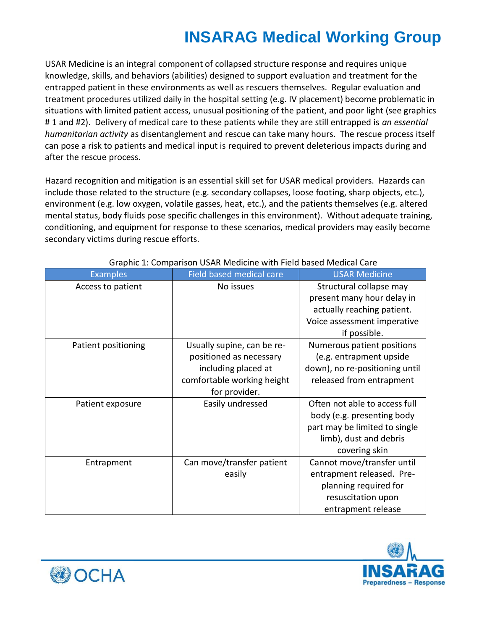USAR Medicine is an integral component of collapsed structure response and requires unique knowledge, skills, and behaviors (abilities) designed to support evaluation and treatment for the entrapped patient in these environments as well as rescuers themselves. Regular evaluation and treatment procedures utilized daily in the hospital setting (e.g. IV placement) become problematic in situations with limited patient access, unusual positioning of the patient, and poor light (see graphics # 1 and #2). Delivery of medical care to these patients while they are still entrapped is *an essential humanitarian activity* as disentanglement and rescue can take many hours. The rescue process itself can pose a risk to patients and medical input is required to prevent deleterious impacts during and after the rescue process.

Hazard recognition and mitigation is an essential skill set for USAR medical providers. Hazards can include those related to the structure (e.g. secondary collapses, loose footing, sharp objects, etc.), environment (e.g. low oxygen, volatile gasses, heat, etc.), and the patients themselves (e.g. altered mental status, body fluids pose specific challenges in this environment). Without adequate training, conditioning, and equipment for response to these scenarios, medical providers may easily become secondary victims during rescue efforts.

| <b>Examples</b>     | Field based medical care   | <b>USAR Medicine</b>           |
|---------------------|----------------------------|--------------------------------|
| Access to patient   | No issues                  | Structural collapse may        |
|                     |                            | present many hour delay in     |
|                     |                            | actually reaching patient.     |
|                     |                            | Voice assessment imperative    |
|                     |                            | if possible.                   |
| Patient positioning | Usually supine, can be re- | Numerous patient positions     |
|                     | positioned as necessary    | (e.g. entrapment upside        |
|                     | including placed at        | down), no re-positioning until |
|                     | comfortable working height | released from entrapment       |
|                     | for provider.              |                                |
| Patient exposure    | Easily undressed           | Often not able to access full  |
|                     |                            | body (e.g. presenting body     |
|                     |                            | part may be limited to single  |
|                     |                            | limb), dust and debris         |
|                     |                            | covering skin                  |
| Entrapment          | Can move/transfer patient  | Cannot move/transfer until     |
|                     | easily                     | entrapment released. Pre-      |
|                     |                            | planning required for          |
|                     |                            | resuscitation upon             |
|                     |                            | entrapment release             |

#### Graphic 1: Comparison USAR Medicine with Field based Medical Care



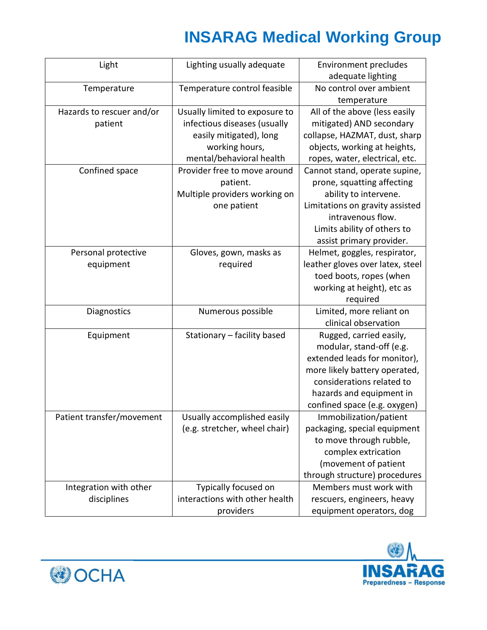| Light                     | Lighting usually adequate      | <b>Environment precludes</b>     |
|---------------------------|--------------------------------|----------------------------------|
|                           |                                | adequate lighting                |
| Temperature               | Temperature control feasible   | No control over ambient          |
|                           |                                | temperature                      |
| Hazards to rescuer and/or | Usually limited to exposure to | All of the above (less easily    |
| patient                   | infectious diseases (usually   | mitigated) AND secondary         |
|                           | easily mitigated), long        | collapse, HAZMAT, dust, sharp    |
|                           | working hours,                 | objects, working at heights,     |
|                           | mental/behavioral health       | ropes, water, electrical, etc.   |
| Confined space            | Provider free to move around   | Cannot stand, operate supine,    |
|                           | patient.                       | prone, squatting affecting       |
|                           | Multiple providers working on  | ability to intervene.            |
|                           | one patient                    | Limitations on gravity assisted  |
|                           |                                | intravenous flow.                |
|                           |                                | Limits ability of others to      |
|                           |                                | assist primary provider.         |
| Personal protective       | Gloves, gown, masks as         | Helmet, goggles, respirator,     |
| equipment                 | required                       | leather gloves over latex, steel |
|                           |                                | toed boots, ropes (when          |
|                           |                                | working at height), etc as       |
|                           |                                | required                         |
| Diagnostics               | Numerous possible              | Limited, more reliant on         |
|                           |                                | clinical observation             |
| Equipment                 | Stationary - facility based    | Rugged, carried easily,          |
|                           |                                | modular, stand-off (e.g.         |
|                           |                                | extended leads for monitor),     |
|                           |                                | more likely battery operated,    |
|                           |                                | considerations related to        |
|                           |                                | hazards and equipment in         |
|                           |                                | confined space (e.g. oxygen)     |
| Patient transfer/movement | Usually accomplished easily    | Immobilization/patient           |
|                           | (e.g. stretcher, wheel chair)  | packaging, special equipment     |
|                           |                                | to move through rubble,          |
|                           |                                | complex extrication              |
|                           |                                | (movement of patient             |
|                           |                                | through structure) procedures    |
| Integration with other    | Typically focused on           | Members must work with           |
| disciplines               | interactions with other health | rescuers, engineers, heavy       |
|                           | providers                      | equipment operators, dog         |



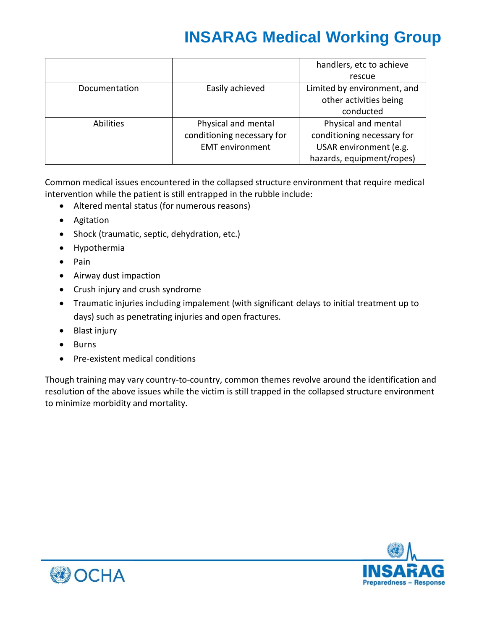|                  |                            | handlers, etc to achieve    |
|------------------|----------------------------|-----------------------------|
|                  |                            | rescue                      |
| Documentation    | Easily achieved            | Limited by environment, and |
|                  |                            | other activities being      |
|                  |                            | conducted                   |
| <b>Abilities</b> | Physical and mental        | Physical and mental         |
|                  | conditioning necessary for | conditioning necessary for  |
|                  | <b>EMT</b> environment     | USAR environment (e.g.      |
|                  |                            | hazards, equipment/ropes)   |

Common medical issues encountered in the collapsed structure environment that require medical intervention while the patient is still entrapped in the rubble include:

- Altered mental status (for numerous reasons)
- Agitation
- Shock (traumatic, septic, dehydration, etc.)
- Hypothermia
- Pain
- Airway dust impaction
- Crush injury and crush syndrome
- Traumatic injuries including impalement (with significant delays to initial treatment up to days) such as penetrating injuries and open fractures.
- Blast injury
- Burns
- Pre-existent medical conditions

Though training may vary country-to-country, common themes revolve around the identification and resolution of the above issues while the victim is still trapped in the collapsed structure environment to minimize morbidity and mortality.



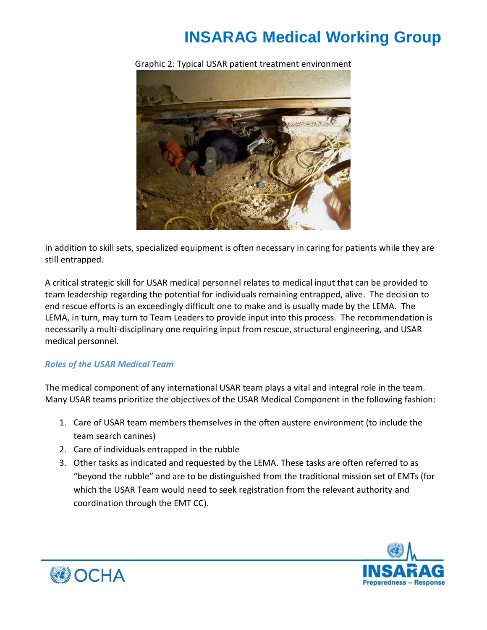

Graphic 2: Typical USAR patient treatment environment

In addition to skill sets, specialized equipment is often necessary in caring for patients while they are still entrapped.

A critical strategic skill for USAR medical personnel relates to medical input that can be provided to team leadership regarding the potential for individuals remaining entrapped, alive. The decision to end rescue efforts is an exceedingly difficult one to make and is usually made by the LEMA. The LEMA, in turn, may turn to Team Leaders to provide input into this process. The recommendation is necessarily a multi-disciplinary one requiring input from rescue, structural engineering, and USAR medical personnel.

#### *Roles of the USAR Medical Team*

The medical component of any international USAR team plays a vital and integral role in the team. Many USAR teams prioritize the objectives of the USAR Medical Component in the following fashion:

- 1. Care of USAR team members themselves in the often austere environment (to include the team search canines)
- 2. Care of individuals entrapped in the rubble
- 3. Other tasks as indicated and requested by the LEMA. These tasks are often referred to as "beyond the rubble" and are to be distinguished from the traditional mission set of EMTs (for which the USAR Team would need to seek registration from the relevant authority and coordination through the EMT CC).